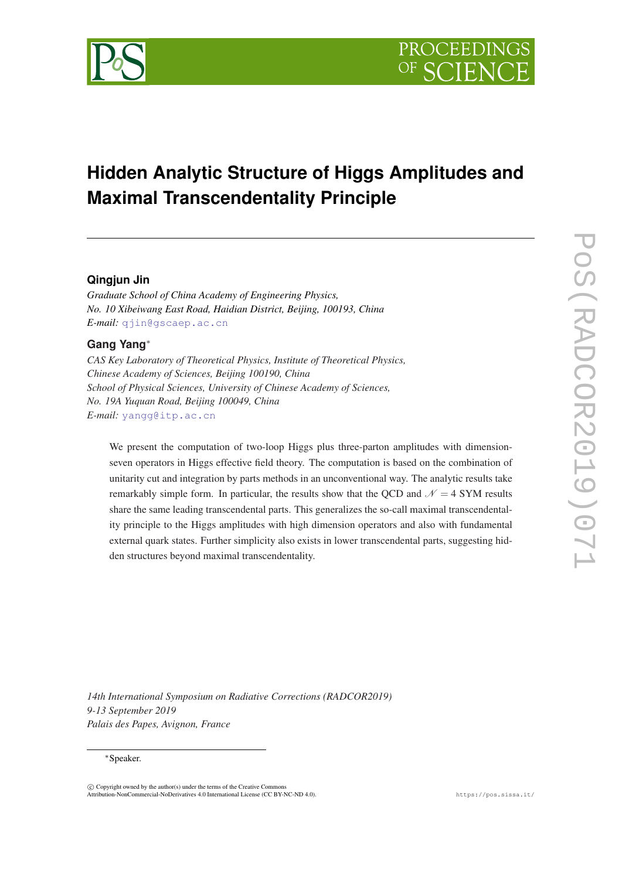

# **Hidden Analytic Structure of Higgs Amplitudes and Maximal Transcendentality Principle**

# **Qingjun Jin**

*Graduate School of China Academy of Engineering Physics, No. 10 Xibeiwang East Road, Haidian District, Beijing, 100193, China E-mail:* [qjin@gscaep.ac.cn](mailto:qjin@gscaep.ac.cn)

# **Gang Yang**<sup>∗</sup>

*CAS Key Laboratory of Theoretical Physics, Institute of Theoretical Physics, Chinese Academy of Sciences, Beijing 100190, China School of Physical Sciences, University of Chinese Academy of Sciences, No. 19A Yuquan Road, Beijing 100049, China E-mail:* [yangg@itp.ac.cn](mailto:yangg@itp.ac.cn)

We present the computation of two-loop Higgs plus three-parton amplitudes with dimensionseven operators in Higgs effective field theory. The computation is based on the combination of unitarity cut and integration by parts methods in an unconventional way. The analytic results take remarkably simple form. In particular, the results show that the QCD and  $\mathcal{N} = 4$  SYM results share the same leading transcendental parts. This generalizes the so-call maximal transcendentality principle to the Higgs amplitudes with high dimension operators and also with fundamental external quark states. Further simplicity also exists in lower transcendental parts, suggesting hidden structures beyond maximal transcendentality.

*14th International Symposium on Radiative Corrections (RADCOR2019) 9-13 September 2019 Palais des Papes, Avignon, France*

#### <sup>∗</sup>Speaker.

 $\overline{c}$  Copyright owned by the author(s) under the terms of the Creative Commons Attribution-NonCommercial-NoDerivatives 4.0 International License (CC BY-NC-ND 4.0). https://pos.sissa.it/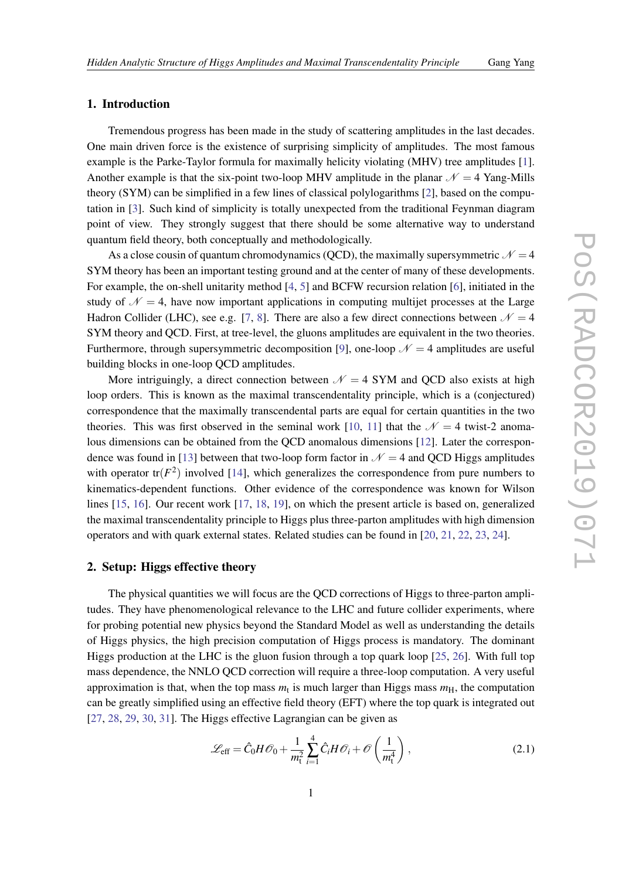# <span id="page-1-0"></span>1. Introduction

Tremendous progress has been made in the study of scattering amplitudes in the last decades. One main driven force is the existence of surprising simplicity of amplitudes. The most famous example is the Parke-Taylor formula for maximally helicity violating (MHV) tree amplitudes [\[1\]](#page-8-0). Another example is that the six-point two-loop MHV amplitude in the planar  $\mathcal{N} = 4$  Yang-Mills theory (SYM) can be simplified in a few lines of classical polylogarithms [\[2\]](#page-8-0), based on the computation in [[3](#page-9-0)]. Such kind of simplicity is totally unexpected from the traditional Feynman diagram point of view. They strongly suggest that there should be some alternative way to understand quantum field theory, both conceptually and methodologically.

As a close cousin of quantum chromodynamics (QCD), the maximally supersymmetric  $\mathcal{N} = 4$ SYM theory has been an important testing ground and at the center of many of these developments. For example, the on-shell unitarity method [\[4,](#page-9-0) [5\]](#page-9-0) and BCFW recursion relation [\[6\]](#page-9-0), initiated in the study of  $\mathcal{N} = 4$ , have now important applications in computing multijet processes at the Large Hadron Collider (LHC), see e.g. [[7](#page-9-0), [8](#page-9-0)]. There are also a few direct connections between  $\mathcal{N} = 4$ SYM theory and QCD. First, at tree-level, the gluons amplitudes are equivalent in the two theories. Furthermore, through supersymmetric decomposition [[9](#page-9-0)], one-loop  $\mathcal{N} = 4$  amplitudes are useful building blocks in one-loop QCD amplitudes.

More intriguingly, a direct connection between  $\mathcal{N} = 4$  SYM and QCD also exists at high loop orders. This is known as the maximal transcendentality principle, which is a (conjectured) correspondence that the maximally transcendental parts are equal for certain quantities in the two theories. This was first observed in the seminal work [\[10](#page-9-0), [11\]](#page-9-0) that the  $\mathcal{N} = 4$  twist-2 anomalous dimensions can be obtained from the QCD anomalous dimensions [[12\]](#page-9-0). Later the correspon-dence was found in [\[13](#page-9-0)] between that two-loop form factor in  $\mathcal{N} = 4$  and QCD Higgs amplitudes with operator  $tr(F^2)$  involved [[14\]](#page-9-0), which generalizes the correspondence from pure numbers to kinematics-dependent functions. Other evidence of the correspondence was known for Wilson lines [[15,](#page-9-0) [16](#page-9-0)]. Our recent work [[17,](#page-9-0) [18](#page-9-0), [19](#page-9-0)], on which the present article is based on, generalized the maximal transcendentality principle to Higgs plus three-parton amplitudes with high dimension operators and with quark external states. Related studies can be found in [[20,](#page-9-0) [21](#page-9-0), [22,](#page-9-0) [23,](#page-9-0) [24](#page-9-0)].

# 2. Setup: Higgs effective theory

The physical quantities we will focus are the QCD corrections of Higgs to three-parton amplitudes. They have phenomenological relevance to the LHC and future collider experiments, where for probing potential new physics beyond the Standard Model as well as understanding the details of Higgs physics, the high precision computation of Higgs process is mandatory. The dominant Higgs production at the LHC is the gluon fusion through a top quark loop [[25,](#page-9-0) [26](#page-9-0)]. With full top mass dependence, the NNLO QCD correction will require a three-loop computation. A very useful approximation is that, when the top mass  $m_t$  is much larger than Higgs mass  $m_H$ , the computation can be greatly simplified using an effective field theory (EFT) where the top quark is integrated out [[27,](#page-9-0) [28](#page-10-0), [29,](#page-10-0) [30,](#page-10-0) [31](#page-10-0)]. The Higgs effective Lagrangian can be given as

$$
\mathcal{L}_{\text{eff}} = \hat{C}_0 H \mathcal{O}_0 + \frac{1}{m_t^2} \sum_{i=1}^4 \hat{C}_i H \mathcal{O}_i + \mathcal{O}\left(\frac{1}{m_t^4}\right),\tag{2.1}
$$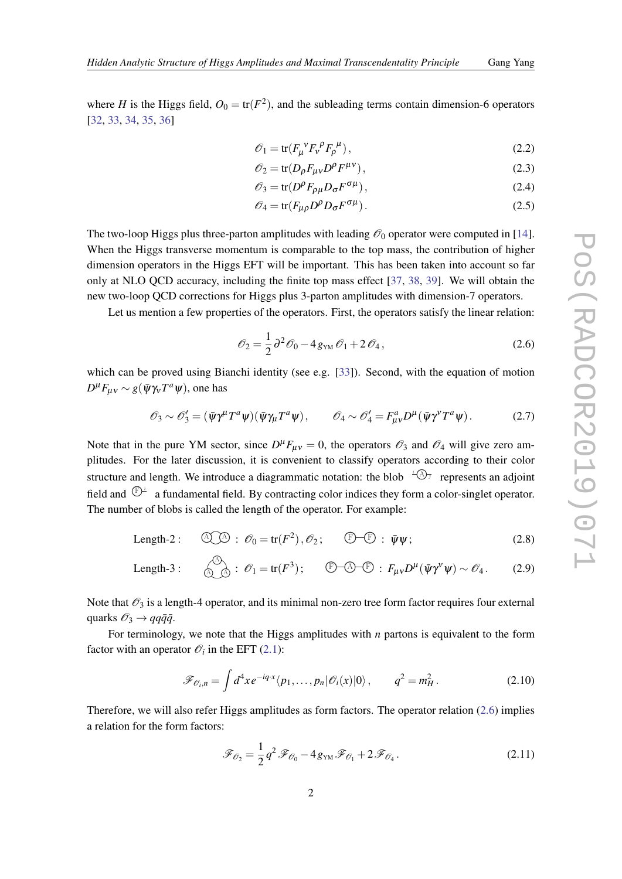<span id="page-2-0"></span>where *H* is the Higgs field,  $O_0 = \text{tr}(F^2)$ , and the subleading terms contain dimension-6 operators [[32,](#page-10-0) [33](#page-10-0), [34,](#page-10-0) [35,](#page-10-0) [36](#page-10-0)]

$$
\mathscr{O}_1 = \text{tr}(F_{\mu}^{\ \nu}F_{\nu}^{\ \rho}F_{\rho}^{\ \mu}),\tag{2.2}
$$

$$
\mathscr{O}_2 = \text{tr}(D_\rho F_{\mu\nu} D^\rho F^{\mu\nu}),\tag{2.3}
$$

$$
\mathcal{O}_3 = \text{tr}(D^\rho F_{\rho\mu} D_\sigma F^{\sigma\mu}),\tag{2.4}
$$

$$
\mathscr{O}_4 = \text{tr}(F_{\mu\rho} D^{\rho} D_{\sigma} F^{\sigma\mu}).\tag{2.5}
$$

The two-loop Higgs plus three-parton amplitudes with leading  $\mathcal{O}_0$  operator were computed in [[14\]](#page-9-0). When the Higgs transverse momentum is comparable to the top mass, the contribution of higher dimension operators in the Higgs EFT will be important. This has been taken into account so far only at NLO QCD accuracy, including the finite top mass effect [[37,](#page-10-0) [38,](#page-10-0) [39\]](#page-10-0). We will obtain the new two-loop QCD corrections for Higgs plus 3-parton amplitudes with dimension-7 operators.

Let us mention a few properties of the operators. First, the operators satisfy the linear relation:

$$
\mathcal{O}_2 = \frac{1}{2} \partial^2 \mathcal{O}_0 - 4 g_{\scriptscriptstyle \text{YM}} \mathcal{O}_1 + 2 \mathcal{O}_4, \qquad (2.6)
$$

which can be proved using Bianchi identity (see e.g. [\[33](#page-10-0)]). Second, with the equation of motion  $D<sup>μ</sup>F<sub>μν</sub> ∼ g(ψη<sub>ν</sub>T<sup>a</sup>ψ)$ , one has

$$
\mathscr{O}_3 \sim \mathscr{O}_3' = (\bar{\psi}\gamma^{\mu}T^{a}\psi)(\bar{\psi}\gamma_{\mu}T^{a}\psi), \qquad \mathscr{O}_4 \sim \mathscr{O}_4' = F^{a}_{\mu\nu}D^{\mu}(\bar{\psi}\gamma^{\nu}T^{a}\psi). \tag{2.7}
$$

Note that in the pure YM sector, since  $D^{\mu}F_{\mu\nu} = 0$ , the operators  $\mathscr{O}_3$  and  $\mathscr{O}_4$  will give zero amplitudes. For the later discussion, it is convenient to classify operators according to their color structure and length. We introduce a diagrammatic notation: the blob  $\sqrt[4]{\mathcal{A}}$  represents an adjoint field and  $\mathbb{P}^{\perp}$  a fundamental field. By contracting color indices they form a color-singlet operator. The number of blobs is called the length of the operator. For example:

Length-2: 
$$
\textcircled{2}\textcircled{3} : \mathscr{O}_0 = \text{tr}(F^2), \mathscr{O}_2; \quad \textcircled{5}-\textcircled{5} : \bar{\psi}\psi;
$$
 (2.8)

Length-3: 
$$
\mathcal{O}_1 = tr(F^3); \quad \mathbb{F} - \mathbb{A} - \mathbb{F} : F_{\mu\nu}D^{\mu}(\bar{\psi}\gamma^{\nu}\psi) \sim \mathcal{O}_4.
$$
 (2.9)

Note that  $\mathcal{O}_3$  is a length-4 operator, and its minimal non-zero tree form factor requires four external quarks  $\mathcal{O}_3 \rightarrow qq\bar{q}\bar{q}$ .

For terminology, we note that the Higgs amplitudes with *n* partons is equivalent to the form factor with an operator  $\mathcal{O}_i$  in the EFT [\(2.1\)](#page-1-0):

$$
\mathscr{F}_{\mathscr{O}_i,n} = \int d^4x \, e^{-iq \cdot x} \langle p_1, \dots, p_n | \mathscr{O}_i(x) | 0 \rangle \,, \qquad q^2 = m_H^2 \,. \tag{2.10}
$$

Therefore, we will also refer Higgs amplitudes as form factors. The operator relation (2.6) implies a relation for the form factors:

$$
\mathcal{F}_{\mathcal{O}_2} = \frac{1}{2} q^2 \mathcal{F}_{\mathcal{O}_0} - 4 g_{\text{YM}} \mathcal{F}_{\mathcal{O}_1} + 2 \mathcal{F}_{\mathcal{O}_4}.
$$
 (2.11)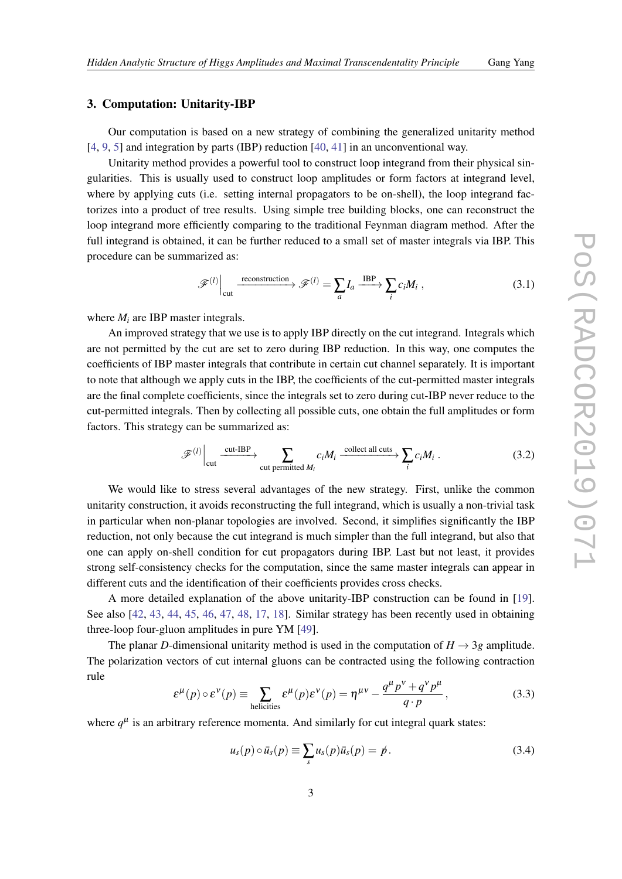# 3. Computation: Unitarity-IBP

Our computation is based on a new strategy of combining the generalized unitarity method [[4](#page-9-0), [9](#page-9-0), [5](#page-9-0)] and integration by parts (IBP) reduction [\[40,](#page-10-0) [41](#page-10-0)] in an unconventional way.

Unitarity method provides a powerful tool to construct loop integrand from their physical singularities. This is usually used to construct loop amplitudes or form factors at integrand level, where by applying cuts (i.e. setting internal propagators to be on-shell), the loop integrand factorizes into a product of tree results. Using simple tree building blocks, one can reconstruct the loop integrand more efficiently comparing to the traditional Feynman diagram method. After the full integrand is obtained, it can be further reduced to a small set of master integrals via IBP. This procedure can be summarized as:

$$
\mathscr{F}^{(l)}\Big|_{\text{cut}} \xrightarrow{\text{reconstruction}} \mathscr{F}^{(l)} = \sum_{a} I_a \xrightarrow{\text{IBP}} \sum_{i} c_i M_i , \qquad (3.1)
$$

where  $M_i$  are IBP master integrals.

An improved strategy that we use is to apply IBP directly on the cut integrand. Integrals which are not permitted by the cut are set to zero during IBP reduction. In this way, one computes the coefficients of IBP master integrals that contribute in certain cut channel separately. It is important to note that although we apply cuts in the IBP, the coefficients of the cut-permitted master integrals are the final complete coefficients, since the integrals set to zero during cut-IBP never reduce to the cut-permitted integrals. Then by collecting all possible cuts, one obtain the full amplitudes or form factors. This strategy can be summarized as:

$$
\mathscr{F}^{(l)}\Big|_{\text{cut}} \xrightarrow{\text{cut-IBP}} \sum_{\text{cut permitted } M_i} c_i M_i \xrightarrow{\text{collect all cuts}} \sum_i c_i M_i . \tag{3.2}
$$

We would like to stress several advantages of the new strategy. First, unlike the common unitarity construction, it avoids reconstructing the full integrand, which is usually a non-trivial task in particular when non-planar topologies are involved. Second, it simplifies significantly the IBP reduction, not only because the cut integrand is much simpler than the full integrand, but also that one can apply on-shell condition for cut propagators during IBP. Last but not least, it provides strong self-consistency checks for the computation, since the same master integrals can appear in different cuts and the identification of their coefficients provides cross checks.

A more detailed explanation of the above unitarity-IBP construction can be found in [[19\]](#page-9-0). See also [[42,](#page-10-0) [43](#page-10-0), [44](#page-10-0), [45](#page-10-0), [46,](#page-10-0) [47,](#page-10-0) [48](#page-10-0), [17](#page-9-0), [18](#page-9-0)]. Similar strategy has been recently used in obtaining three-loop four-gluon amplitudes in pure YM [[49\]](#page-10-0).

The planar *D*-dimensional unitarity method is used in the computation of  $H \rightarrow 3g$  amplitude. The polarization vectors of cut internal gluons can be contracted using the following contraction rule ν *p*

$$
\varepsilon^{\mu}(p) \circ \varepsilon^{\nu}(p) \equiv \sum_{\text{helicities}} \varepsilon^{\mu}(p) \varepsilon^{\nu}(p) = \eta^{\mu\nu} - \frac{q^{\mu}p^{\nu} + q^{\nu}p^{\mu}}{q \cdot p}, \qquad (3.3)
$$

where  $q^{\mu}$  is an arbitrary reference momenta. And similarly for cut integral quark states:

$$
u_s(p) \circ \bar{u}_s(p) \equiv \sum_s u_s(p) \bar{u}_s(p) = p. \tag{3.4}
$$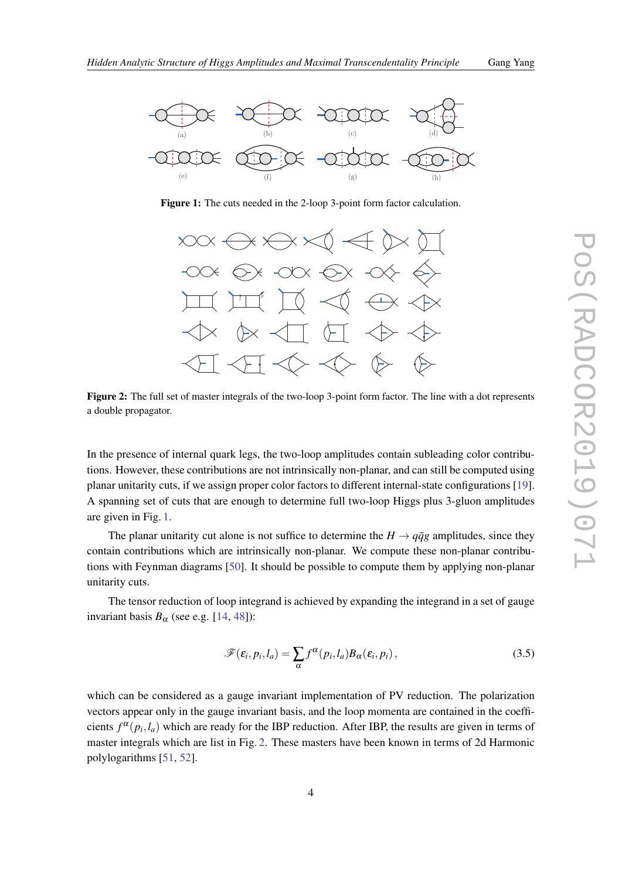

Figure 1: The cuts needed in the 2-loop 3-point form factor calculation.



Figure 2: The full set of master integrals of the two-loop 3-point form factor. The line with a dot represents a double propagator.

In the presence of internal quark legs, the two-loop amplitudes contain subleading color contributions. However, these contributions are not intrinsically non-planar, and can still be computed using planar unitarity cuts, if we assign proper color factors to different internal-state configurations [[19\]](#page-9-0). A spanning set of cuts that are enough to determine full two-loop Higgs plus 3-gluon amplitudes are given in Fig. 1.

The planar unitarity cut alone is not suffice to determine the  $H \rightarrow q\bar{q}g$  amplitudes, since they contain contributions which are intrinsically non-planar. We compute these non-planar contributions with Feynman diagrams [\[50](#page-10-0)]. It should be possible to compute them by applying non-planar unitarity cuts.

The tensor reduction of loop integrand is achieved by expanding the integrand in a set of gauge invariant basis  $B_{\alpha}$  (see e.g. [\[14](#page-9-0), [48\]](#page-10-0)):

$$
\mathscr{F}(\varepsilon_i, p_i, l_a) = \sum_{\alpha} f^{\alpha}(p_i, l_a) B_{\alpha}(\varepsilon_i, p_i), \qquad (3.5)
$$

which can be considered as a gauge invariant implementation of PV reduction. The polarization vectors appear only in the gauge invariant basis, and the loop momenta are contained in the coefficients  $f^{\alpha}(p_i, l_a)$  which are ready for the IBP reduction. After IBP, the results are given in terms of master integrals which are list in Fig. 2. These masters have been known in terms of 2d Harmonic polylogarithms [[51,](#page-10-0) [52\]](#page-10-0).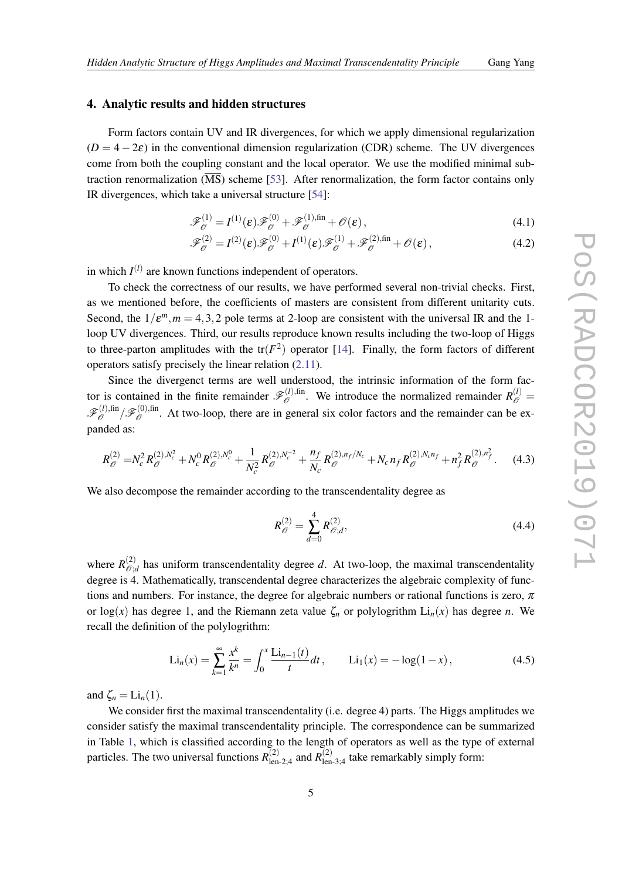# <span id="page-5-0"></span>4. Analytic results and hidden structures

Form factors contain UV and IR divergences, for which we apply dimensional regularization  $(D = 4 - 2\varepsilon)$  in the conventional dimension regularization (CDR) scheme. The UV divergences come from both the coupling constant and the local operator. We use the modified minimal subtraction renormalization  $(\overline{\text{MS}})$  scheme [[53](#page-10-0)]. After renormalization, the form factor contains only IR divergences, which take a universal structure [\[54](#page-10-0)]:

$$
\mathscr{F}_{\mathscr{O}}^{(1)} = I^{(1)}(\varepsilon) \mathscr{F}_{\mathscr{O}}^{(0)} + \mathscr{F}_{\mathscr{O}}^{(1),\text{fin}} + \mathscr{O}(\varepsilon), \tag{4.1}
$$

$$
\mathcal{F}_{\mathcal{O}}^{(2)} = I^{(2)}(\varepsilon)\mathcal{F}_{\mathcal{O}}^{(0)} + I^{(1)}(\varepsilon)\mathcal{F}_{\mathcal{O}}^{(1)} + \mathcal{F}_{\mathcal{O}}^{(2),\text{fin}} + \mathcal{O}(\varepsilon), \tag{4.2}
$$

in which  $I^{(l)}$  are known functions independent of operators.

To check the correctness of our results, we have performed several non-trivial checks. First, as we mentioned before, the coefficients of masters are consistent from different unitarity cuts. Second, the  $1/\varepsilon^{m}$ ,  $m = 4, 3, 2$  pole terms at 2-loop are consistent with the universal IR and the 1loop UV divergences. Third, our results reproduce known results including the two-loop of Higgs to three-parton amplitudes with the  $tr(F^2)$  operator [\[14](#page-9-0)]. Finally, the form factors of different operators satisfy precisely the linear relation [\(2.11](#page-2-0)).

Since the divergenct terms are well understood, the intrinsic information of the form factor is contained in the finite remainder  $\mathscr{F}_{\mathscr{O}}^{(l),\text{fin}}$  $\mathcal{L}_{\mathscr{O}}^{(l),\text{fin}}$ . We introduce the normalized remainder  $R_{\mathscr{O}}^{(l)}$  $\mathscr{F}_{\mathscr{O}}^{(l),\mathrm{fin}}$  $\mathscr{F}_{\mathscr{O}}^{(l),\text{fin}}/\mathscr{F}_{\mathscr{O}}^{(0),\text{fin}}$  $\mathscr{O}$ . At two-loop, there are in general six color factors and the remainder can be expanded as:

$$
R_{\mathcal{O}}^{(2)} = N_c^2 R_{\mathcal{O}}^{(2),N_c^2} + N_c^0 R_{\mathcal{O}}^{(2),N_c^0} + \frac{1}{N_c^2} R_{\mathcal{O}}^{(2),N_c^{-2}} + \frac{n_f}{N_c} R_{\mathcal{O}}^{(2),n_f/N_c} + N_c n_f R_{\mathcal{O}}^{(2),N_c n_f} + n_f^2 R_{\mathcal{O}}^{(2),n_f^2}.
$$
 (4.3)

We also decompose the remainder according to the transcendentality degree as

$$
R_{\mathcal{O}}^{(2)} = \sum_{d=0}^{4} R_{\mathcal{O};d}^{(2)},
$$
\n(4.4)

where  $R^{(2)}_{\hat{C}}$  $\mathcal{O}_{\mathcal{O},d}^{(2)}$  has uniform transcendentality degree *d*. At two-loop, the maximal transcendentality degree is 4. Mathematically, transcendental degree characterizes the algebraic complexity of functions and numbers. For instance, the degree for algebraic numbers or rational functions is zero,  $\pi$ or  $log(x)$  has degree 1, and the Riemann zeta value  $\zeta_n$  or polylogrithm  $Li_n(x)$  has degree *n*. We recall the definition of the polylogrithm:

$$
\text{Li}_n(x) = \sum_{k=1}^{\infty} \frac{x^k}{k^n} = \int_0^x \frac{\text{Li}_{n-1}(t)}{t} dt, \qquad \text{Li}_1(x) = -\log(1-x), \tag{4.5}
$$

and  $\zeta_n = \text{Li}_n(1)$ .

We consider first the maximal transcendentality (i.e. degree 4) parts. The Higgs amplitudes we consider satisfy the maximal transcendentality principle. The correspondence can be summarized in Table [1,](#page-6-0) which is classified according to the length of operators as well as the type of external particles. The two universal functions  $R_{\text{len-2};4}^{(2)}$  and  $R_{\text{len-3};4}^{(2)}$  take remarkably simply form: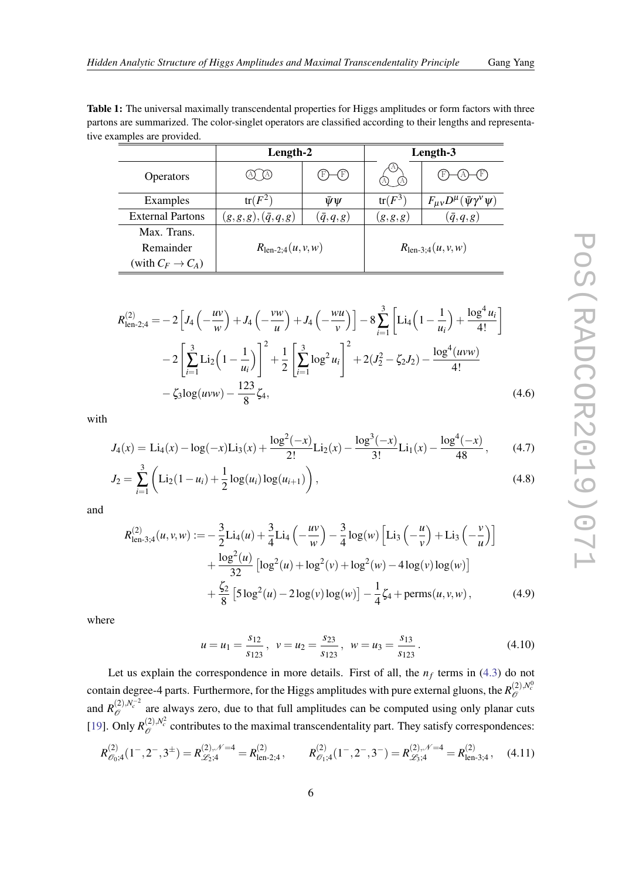<span id="page-6-0"></span>

| Table 1: The universal maximally transcendental properties for Higgs amplitudes or form factors with three    |
|---------------------------------------------------------------------------------------------------------------|
| partons are summarized. The color-singlet operators are classified according to their lengths and representa- |
| tive examples are provided.                                                                                   |

|                         | Length-2                      |                           | Length-3                      |                                                       |
|-------------------------|-------------------------------|---------------------------|-------------------------------|-------------------------------------------------------|
| <b>Operators</b>        |                               | $\left(\mathrm{F}\right)$ |                               | (F)                                                   |
| Examples                | $tr(F^2)$                     | $\bar{\psi}\psi$          | $tr(F^3)$                     | $F_{\mu\nu}D^{\mu}$<br>$\bar{\psi} \gamma^{\nu} \psi$ |
| <b>External Partons</b> | $(g,g,g),(\bar{q},q,g)$       | $(\bar{q},q,g)$           | (g,g,g)                       | $(\bar{q},q,g)$                                       |
| Max. Trans.             |                               |                           |                               |                                                       |
| Remainder               | $R_{\text{len-2};4}(u, v, w)$ |                           | $R_{\text{len-3};4}(u, v, w)$ |                                                       |
| (with $C_F \to C_A$ )   |                               |                           |                               |                                                       |

$$
R_{\text{len-2;4}}^{(2)} = -2\left[J_4\left(-\frac{uv}{w}\right) + J_4\left(-\frac{vw}{u}\right) + J_4\left(-\frac{wu}{v}\right)\right] - 8\sum_{i=1}^3 \left[\text{Li}_4\left(1 - \frac{1}{u_i}\right) + \frac{\log^4 u_i}{4!}\right] -2\left[\sum_{i=1}^3 \text{Li}_2\left(1 - \frac{1}{u_i}\right)\right]^2 + \frac{1}{2}\left[\sum_{i=1}^3 \log^2 u_i\right]^2 + 2(J_2^2 - \zeta_2 J_2) - \frac{\log^4(uvw)}{4!} - \zeta_3 \log(uvw) - \frac{123}{8}\zeta_4,
$$
\n(4.6)

with

$$
J_4(x) = \text{Li}_4(x) - \log(-x)\text{Li}_3(x) + \frac{\log^2(-x)}{2!}\text{Li}_2(x) - \frac{\log^3(-x)}{3!}\text{Li}_1(x) - \frac{\log^4(-x)}{48},\tag{4.7}
$$

$$
J_2 = \sum_{i=1}^{3} \left( \text{Li}_2(1 - u_i) + \frac{1}{2} \log(u_i) \log(u_{i+1}) \right), \tag{4.8}
$$

and

$$
R_{\text{len-3;4}}^{(2)}(u,v,w) := -\frac{3}{2} \text{Li}_4(u) + \frac{3}{4} \text{Li}_4\left(-\frac{uv}{w}\right) - \frac{3}{4} \log(w) \left[\text{Li}_3\left(-\frac{u}{v}\right) + \text{Li}_3\left(-\frac{v}{u}\right)\right] \\
+ \frac{\log^2(u)}{32} \left[\log^2(u) + \log^2(v) + \log^2(w) - 4\log(v) \log(w)\right] \\
+ \frac{\zeta_2}{8} \left[5\log^2(u) - 2\log(v) \log(w)\right] - \frac{1}{4}\zeta_4 + \text{perms}(u,v,w),\n\tag{4.9}
$$

where

$$
u = u_1 = \frac{s_{12}}{s_{123}}, \quad v = u_2 = \frac{s_{23}}{s_{123}}, \quad w = u_3 = \frac{s_{13}}{s_{123}}.
$$
 (4.10)

Let us explain the correspondence in more details. First of all, the  $n_f$  terms in ([4.3](#page-5-0)) do not contain degree-4 parts. Furthermore, for the Higgs amplitudes with pure external gluons, the  $R^{(2),N_c^0}_{\cal{O}}$ and  $R_{\mathscr{O}}^{(2),N_c^{-2}}$  are always zero, due to that full amplitudes can be computed using only planar cuts [[19\]](#page-9-0). Only  $R_{\mathcal{O}}^{(2),N_c^2}$  contributes to the maximal transcendentality part. They satisfy correspondences:

$$
R_{\mathcal{O}_0;4}^{(2)}(1^-,2^-,3^{\pm})=R_{\mathcal{L}_2;4}^{(2),\mathcal{N}=4}=R_{\text{len-2};4}^{(2)},\qquad R_{\mathcal{O}_1;4}^{(2)}(1^-,2^-,3^-)=R_{\mathcal{L}_3;4}^{(2),\mathcal{N}=4}=R_{\text{len-3};4}^{(2)},\qquad(4.11)
$$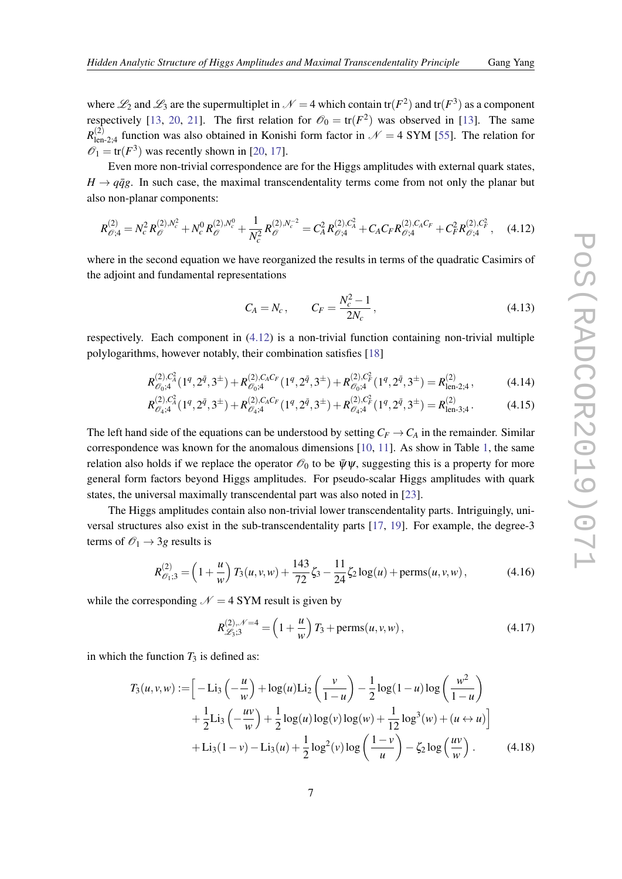<span id="page-7-0"></span>where  $\mathcal{L}_2$  and  $\mathcal{L}_3$  are the supermultiplet in  $\mathcal{N}=4$  which contain tr( $F^2$ ) and tr( $F^3$ ) as a component respectively [[13](#page-9-0), [20](#page-9-0), [21](#page-9-0)]. The first relation for  $\mathcal{O}_0 = \text{tr}(F^2)$  was observed in [[13\]](#page-9-0). The same  $R^{(2)}_{\text{len-2;4}}$  function was also obtained in Konishi form factor in  $\mathcal{N}=4$  SYM [[55\]](#page-10-0). The relation for  $\mathscr{O}_1 = \text{tr}(F^3)$  was recently shown in [\[20](#page-9-0), [17\]](#page-9-0).

Even more non-trivial correspondence are for the Higgs amplitudes with external quark states,  $H \rightarrow q\bar{q}g$ . In such case, the maximal transcendentality terms come from not only the planar but also non-planar components:

$$
R_{\mathcal{O};4}^{(2)} = N_c^2 R_{\mathcal{O}}^{(2),N_c^2} + N_c^0 R_{\mathcal{O}}^{(2),N_c^0} + \frac{1}{N_c^2} R_{\mathcal{O}}^{(2),N_c^{-2}} = C_A^2 R_{\mathcal{O};4}^{(2),C_A^2} + C_A C_F R_{\mathcal{O};4}^{(2),C_A C_F} + C_F^2 R_{\mathcal{O};4}^{(2),C_F^2},\tag{4.12}
$$

where in the second equation we have reorganized the results in terms of the quadratic Casimirs of the adjoint and fundamental representations

$$
C_A = N_c, \qquad C_F = \frac{N_c^2 - 1}{2N_c}, \qquad (4.13)
$$

respectively. Each component in (4.12) is a non-trivial function containing non-trivial multiple polylogarithms, however notably, their combination satisfies [[18\]](#page-9-0)

$$
R^{(2),C_4^2}_{\mathcal{O}_0;4}(1^q,2^{\bar{q}},3^{\pm}) + R^{(2),C_4C_F}_{\mathcal{O}_0;4}(1^q,2^{\bar{q}},3^{\pm}) + R^{(2),C_F^2}_{\mathcal{O}_0;4}(1^q,2^{\bar{q}},3^{\pm}) = R^{(2)}_{\text{len-2};4},\tag{4.14}
$$

$$
R_{\mathcal{O}_4;4}^{(2),C_4^2}(1^q,2^{\bar{q}},3^{\pm}) + R_{\mathcal{O}_4;4}^{(2),C_4C_F}(1^q,2^{\bar{q}},3^{\pm}) + R_{\mathcal{O}_4;4}^{(2),C_F^2}(1^q,2^{\bar{q}},3^{\pm}) = R_{\text{len-3};4}^{(2)}.
$$
 (4.15)

The left hand side of the equations can be understood by setting  $C_F \rightarrow C_A$  in the remainder. Similar correspondence was known for the anomalous dimensions [\[10](#page-9-0), [11\]](#page-9-0). As show in Table [1,](#page-6-0) the same relation also holds if we replace the operator  $\mathcal{O}_0$  to be  $\bar{\psi}\psi$ , suggesting this is a property for more general form factors beyond Higgs amplitudes. For pseudo-scalar Higgs amplitudes with quark states, the universal maximally transcendental part was also noted in [[23\]](#page-9-0).

The Higgs amplitudes contain also non-trivial lower transcendentality parts. Intriguingly, universal structures also exist in the sub-transcendentality parts [\[17](#page-9-0), [19](#page-9-0)]. For example, the degree-3 terms of  $\mathcal{O}_1 \rightarrow 3g$  results is

$$
R_{\mathcal{O}_{1};3}^{(2)} = \left(1 + \frac{u}{w}\right)T_3(u,v,w) + \frac{143}{72}\zeta_3 - \frac{11}{24}\zeta_2\log(u) + \text{perms}(u,v,w),\tag{4.16}
$$

while the corresponding  $\mathcal{N} = 4$  SYM result is given by

$$
R_{\mathcal{L}_3;3}^{(2),\mathcal{N}=4} = \left(1 + \frac{u}{w}\right)T_3 + \text{perms}(u,v,w),\tag{4.17}
$$

in which the function  $T_3$  is defined as:

$$
T_3(u, v, w) := \left[ -\text{Li}_3\left(-\frac{u}{w}\right) + \log(u)\text{Li}_2\left(\frac{v}{1-u}\right) - \frac{1}{2}\log(1-u)\log\left(\frac{w^2}{1-u}\right) + \frac{1}{2}\text{Li}_3\left(-\frac{uv}{w}\right) + \frac{1}{2}\log(u)\log(v)\log(w) + \frac{1}{12}\log^3(w) + (u \leftrightarrow u)\right] + \text{Li}_3(1-v) - \text{Li}_3(u) + \frac{1}{2}\log^2(v)\log\left(\frac{1-v}{u}\right) - \zeta_2\log\left(\frac{uv}{w}\right). \tag{4.18}
$$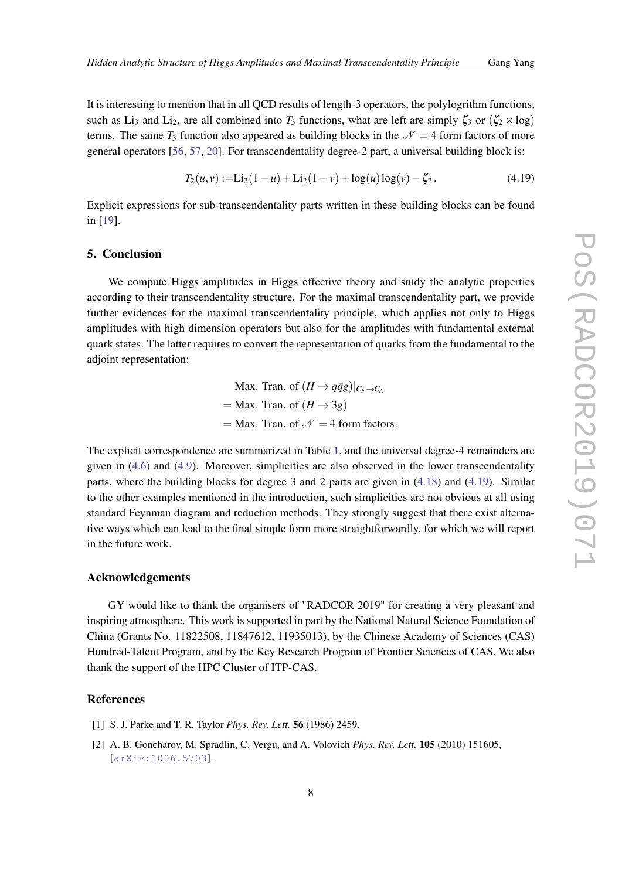<span id="page-8-0"></span>It is interesting to mention that in all QCD results of length-3 operators, the polylogrithm functions, such as Li<sub>3</sub> and Li<sub>2</sub>, are all combined into  $T_3$  functions, what are left are simply  $\zeta_3$  or  $(\zeta_2 \times \log)$ terms. The same  $T_3$  function also appeared as building blocks in the  $\mathcal{N} = 4$  form factors of more general operators [\[56](#page-10-0), [57](#page-10-0), [20\]](#page-9-0). For transcendentality degree-2 part, a universal building block is:

$$
T_2(u, v) :=\text{Li}_2(1-u) + \text{Li}_2(1-v) + \log(u)\log(v) - \zeta_2. \tag{4.19}
$$

Explicit expressions for sub-transcendentality parts written in these building blocks can be found in [\[19](#page-9-0)].

### 5. Conclusion

We compute Higgs amplitudes in Higgs effective theory and study the analytic properties according to their transcendentality structure. For the maximal transcendentality part, we provide further evidences for the maximal transcendentality principle, which applies not only to Higgs amplitudes with high dimension operators but also for the amplitudes with fundamental external quark states. The latter requires to convert the representation of quarks from the fundamental to the adjoint representation:

> Max. Tran. of  $(H \rightarrow q\bar{q}g)|_{C_F \rightarrow C_A}$  $=$  Max. Tran. of  $(H \rightarrow 3g)$  $=$  Max. Tran. of  $\mathcal{N} = 4$  form factors.

The explicit correspondence are summarized in Table [1,](#page-6-0) and the universal degree-4 remainders are given in [\(4.6](#page-6-0)) and [\(4.9](#page-6-0)). Moreover, simplicities are also observed in the lower transcendentality parts, where the building blocks for degree 3 and 2 parts are given in ([4.18\)](#page-7-0) and (4.19). Similar to the other examples mentioned in the introduction, such simplicities are not obvious at all using standard Feynman diagram and reduction methods. They strongly suggest that there exist alternative ways which can lead to the final simple form more straightforwardly, for which we will report in the future work.

### Acknowledgements

GY would like to thank the organisers of "RADCOR 2019" for creating a very pleasant and inspiring atmosphere. This work is supported in part by the National Natural Science Foundation of China (Grants No. 11822508, 11847612, 11935013), by the Chinese Academy of Sciences (CAS) Hundred-Talent Program, and by the Key Research Program of Frontier Sciences of CAS. We also thank the support of the HPC Cluster of ITP-CAS.

#### References

- [1] S. J. Parke and T. R. Taylor *Phys. Rev. Lett.* 56 (1986) 2459.
- [2] A. B. Goncharov, M. Spradlin, C. Vergu, and A. Volovich *Phys. Rev. Lett.* 105 (2010) 151605, [[arXiv:1006.5703](http://arxiv.org/abs/1006.5703)].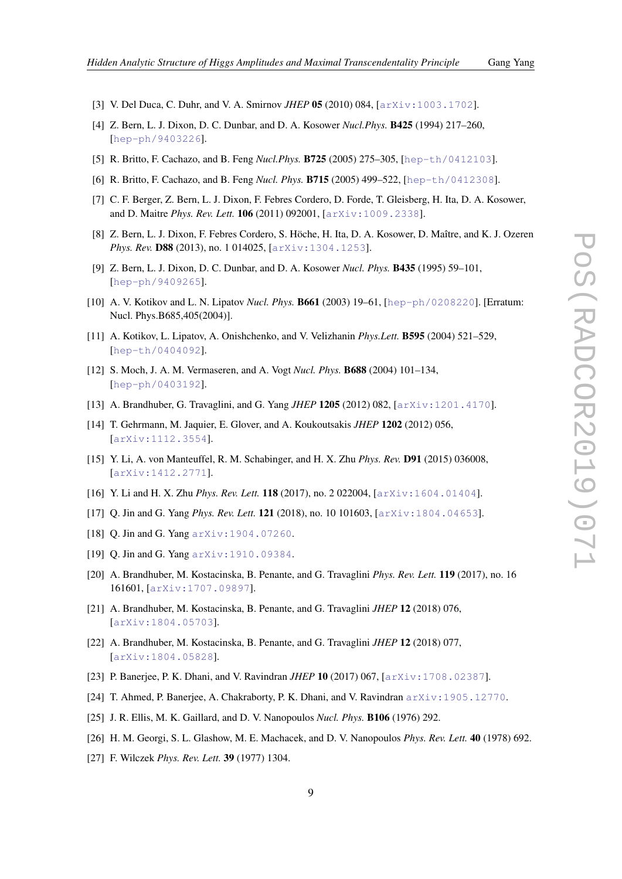- 
- <span id="page-9-0"></span>[3] V. Del Duca, C. Duhr, and V. A. Smirnov *JHEP* 05 (2010) 084, [[arXiv:1003.1702](http://arxiv.org/abs/1003.1702)].
- [4] Z. Bern, L. J. Dixon, D. C. Dunbar, and D. A. Kosower *Nucl.Phys.* B425 (1994) 217–260, [[hep-ph/9403226](http://arxiv.org/abs/hep-ph/9403226)].
- [5] R. Britto, F. Cachazo, and B. Feng *Nucl.Phys.* B725 (2005) 275–305, [[hep-th/0412103](http://arxiv.org/abs/hep-th/0412103)].
- [6] R. Britto, F. Cachazo, and B. Feng *Nucl. Phys.* B715 (2005) 499–522, [[hep-th/0412308](http://arxiv.org/abs/hep-th/0412308)].
- [7] C. F. Berger, Z. Bern, L. J. Dixon, F. Febres Cordero, D. Forde, T. Gleisberg, H. Ita, D. A. Kosower, and D. Maitre *Phys. Rev. Lett.* 106 (2011) 092001, [[arXiv:1009.2338](http://arxiv.org/abs/1009.2338)].
- [8] Z. Bern, L. J. Dixon, F. Febres Cordero, S. Höche, H. Ita, D. A. Kosower, D. Maître, and K. J. Ozeren *Phys. Rev.* D88 (2013), no. 1 014025, [[arXiv:1304.1253](http://arxiv.org/abs/1304.1253)].
- [9] Z. Bern, L. J. Dixon, D. C. Dunbar, and D. A. Kosower *Nucl. Phys.* B435 (1995) 59–101, [[hep-ph/9409265](http://arxiv.org/abs/hep-ph/9409265)].
- [10] A. V. Kotikov and L. N. Lipatov *Nucl. Phys.* B661 (2003) 19–61, [[hep-ph/0208220](http://arxiv.org/abs/hep-ph/0208220)]. [Erratum: Nucl. Phys.B685,405(2004)].
- [11] A. Kotikov, L. Lipatov, A. Onishchenko, and V. Velizhanin *Phys.Lett.* B595 (2004) 521–529, [[hep-th/0404092](http://arxiv.org/abs/hep-th/0404092)].
- [12] S. Moch, J. A. M. Vermaseren, and A. Vogt *Nucl. Phys.* B688 (2004) 101–134, [[hep-ph/0403192](http://arxiv.org/abs/hep-ph/0403192)].
- [13] A. Brandhuber, G. Travaglini, and G. Yang *JHEP* 1205 (2012) 082, [[arXiv:1201.4170](http://arxiv.org/abs/1201.4170)].
- [14] T. Gehrmann, M. Jaquier, E. Glover, and A. Koukoutsakis *JHEP* 1202 (2012) 056, [[arXiv:1112.3554](http://arxiv.org/abs/1112.3554)].
- [15] Y. Li, A. von Manteuffel, R. M. Schabinger, and H. X. Zhu *Phys. Rev.* D91 (2015) 036008, [[arXiv:1412.2771](http://arxiv.org/abs/1412.2771)].
- [16] Y. Li and H. X. Zhu *Phys. Rev. Lett.* **118** (2017), no. 2 022004,  $\left[ \arctan 1604.01404 \right]$ .
- [17] Q. Jin and G. Yang *Phys. Rev. Lett.* 121 (2018), no. 10 101603, [[arXiv:1804.04653](http://arxiv.org/abs/1804.04653)].
- [18] O. Jin and G. Yang arXiv: 1904.07260.
- [19] Q. Jin and G. Yang arXiv: 1910.09384.
- [20] A. Brandhuber, M. Kostacinska, B. Penante, and G. Travaglini *Phys. Rev. Lett.* 119 (2017), no. 16 161601, [[arXiv:1707.09897](http://arxiv.org/abs/1707.09897)].
- [21] A. Brandhuber, M. Kostacinska, B. Penante, and G. Travaglini *JHEP* 12 (2018) 076, [[arXiv:1804.05703](http://arxiv.org/abs/1804.05703)].
- [22] A. Brandhuber, M. Kostacinska, B. Penante, and G. Travaglini *JHEP* 12 (2018) 077, [[arXiv:1804.05828](http://arxiv.org/abs/1804.05828)].
- [23] P. Banerjee, P. K. Dhani, and V. Ravindran *JHEP* 10 (2017) 067, [[arXiv:1708.02387](http://arxiv.org/abs/1708.02387)].
- [24] T. Ahmed, P. Banerjee, A. Chakraborty, P. K. Dhani, and V. Ravindran [arXiv:1905.12770](http://arxiv.org/abs/1905.12770).
- [25] J. R. Ellis, M. K. Gaillard, and D. V. Nanopoulos *Nucl. Phys.* B106 (1976) 292.
- [26] H. M. Georgi, S. L. Glashow, M. E. Machacek, and D. V. Nanopoulos *Phys. Rev. Lett.* 40 (1978) 692.
- [27] F. Wilczek *Phys. Rev. Lett.* 39 (1977) 1304.